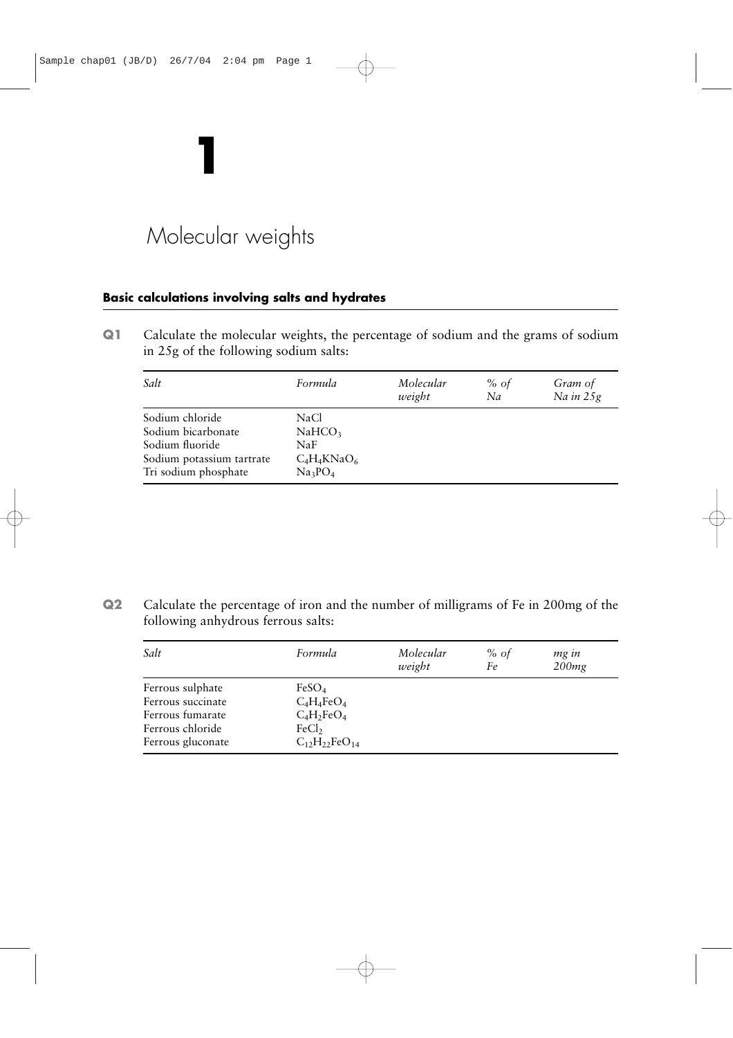# Molecular weights

**1**

## **Basic calculations involving salts and hydrates**

**Q1** Calculate the molecular weights, the percentage of sodium and the grams of sodium in 25g of the following sodium salts:

| Salt                                                                                                          | Formula                                                                  | Molecular<br>weight | % of<br>Na | Gram of<br>Na in 25g |
|---------------------------------------------------------------------------------------------------------------|--------------------------------------------------------------------------|---------------------|------------|----------------------|
| Sodium chloride<br>Sodium bicarbonate<br>Sodium fluoride<br>Sodium potassium tartrate<br>Tri sodium phosphate | <b>NaCl</b><br>NaHCO <sub>3</sub><br>NaF<br>$C_4H_4KNaO_6$<br>$Na_3PO_4$ |                     |            |                      |

**Q2** Calculate the percentage of iron and the number of milligrams of Fe in 200mg of the following anhydrous ferrous salts:

| Salt                                                                                               | Formula                                                                                            | Molecular<br>weight | % of<br>Fe | mg in<br>200mg |
|----------------------------------------------------------------------------------------------------|----------------------------------------------------------------------------------------------------|---------------------|------------|----------------|
| Ferrous sulphate<br>Ferrous succinate<br>Ferrous fumarate<br>Ferrous chloride<br>Ferrous gluconate | FeSO <sub>4</sub><br>$C_4H_4FeO_4$<br>$C_4H_2FeO_4$<br>FeCl <sub>2</sub><br>$C_{12}H_{22}FeO_{14}$ |                     |            |                |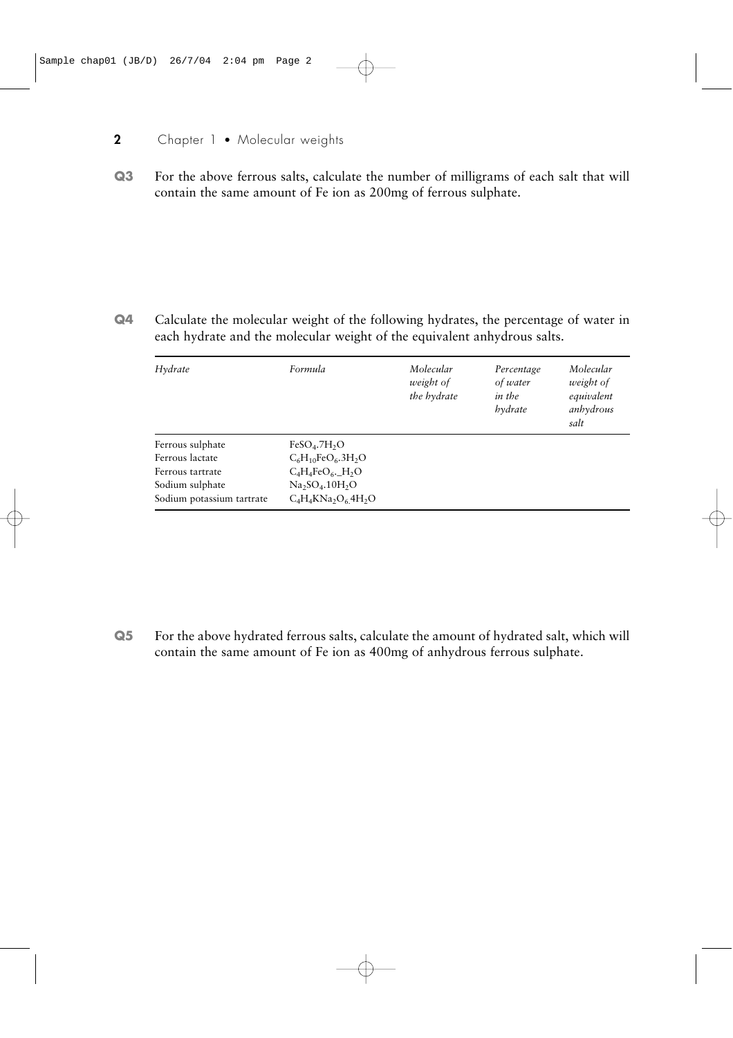## **2** Chapter 1 • Molecular weights

**Q3** For the above ferrous salts, calculate the number of milligrams of each salt that will contain the same amount of Fe ion as 200mg of ferrous sulphate.

**Q4** Calculate the molecular weight of the following hydrates, the percentage of water in each hydrate and the molecular weight of the equivalent anhydrous salts.

| Hydrate                   | Formula                       | Molecular<br>weight of<br>the hydrate | Percentage<br>of water<br>in the<br>hydrate | Molecular<br>weight of<br>equivalent<br>anhydrous<br>salt |
|---------------------------|-------------------------------|---------------------------------------|---------------------------------------------|-----------------------------------------------------------|
| Ferrous sulphate          | $FeSO4$ .7H <sub>2</sub> O    |                                       |                                             |                                                           |
| Ferrous lactate           | $C_6H_{10}FeO_6.3H_2O$        |                                       |                                             |                                                           |
| Ferrous tartrate          | $C_4H_4FeO_6$ . $H_2O$        |                                       |                                             |                                                           |
| Sodium sulphate           | $Na2SO4$ , 10H <sub>2</sub> O |                                       |                                             |                                                           |
| Sodium potassium tartrate | $C_4H_4KNa_2O_64H_2O$         |                                       |                                             |                                                           |

**Q5** For the above hydrated ferrous salts, calculate the amount of hydrated salt, which will contain the same amount of Fe ion as 400mg of anhydrous ferrous sulphate.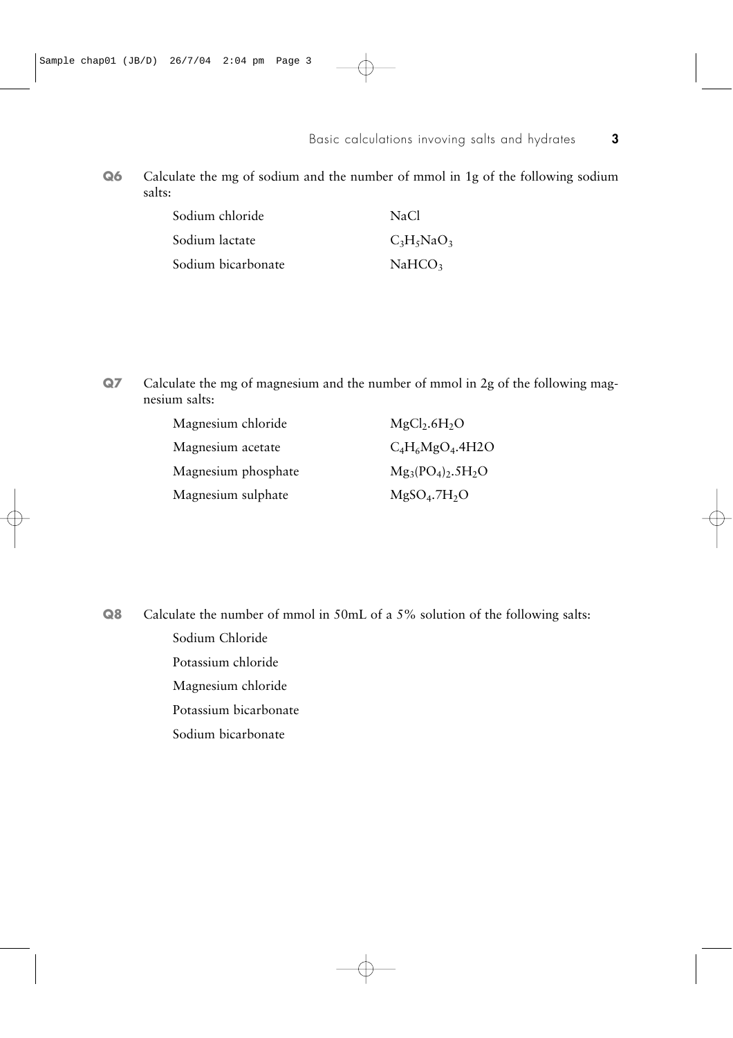**Q6** Calculate the mg of sodium and the number of mmol in 1g of the following sodium salts:

| Sodium chloride    | NaCl               |
|--------------------|--------------------|
| Sodium lactate     | $C_3H_5NaO_3$      |
| Sodium bicarbonate | NaHCO <sub>3</sub> |

**Q7** Calculate the mg of magnesium and the number of mmol in 2g of the following magnesium salts:

| Magnesium chloride  | $MgCl2$ .6H <sub>2</sub> O |
|---------------------|----------------------------|
| Magnesium acetate   | $C_4H_6MgO_4.4H2O$         |
| Magnesium phosphate | $Mg_3(PO_4)_2.5H_2O$       |
| Magnesium sulphate  | $MgSO4$ .7H <sub>2</sub> O |
|                     |                            |

**Q8** Calculate the number of mmol in 50mL of a 5% solution of the following salts: Sodium Chloride Potassium chloride Magnesium chloride Potassium bicarbonate Sodium bicarbonate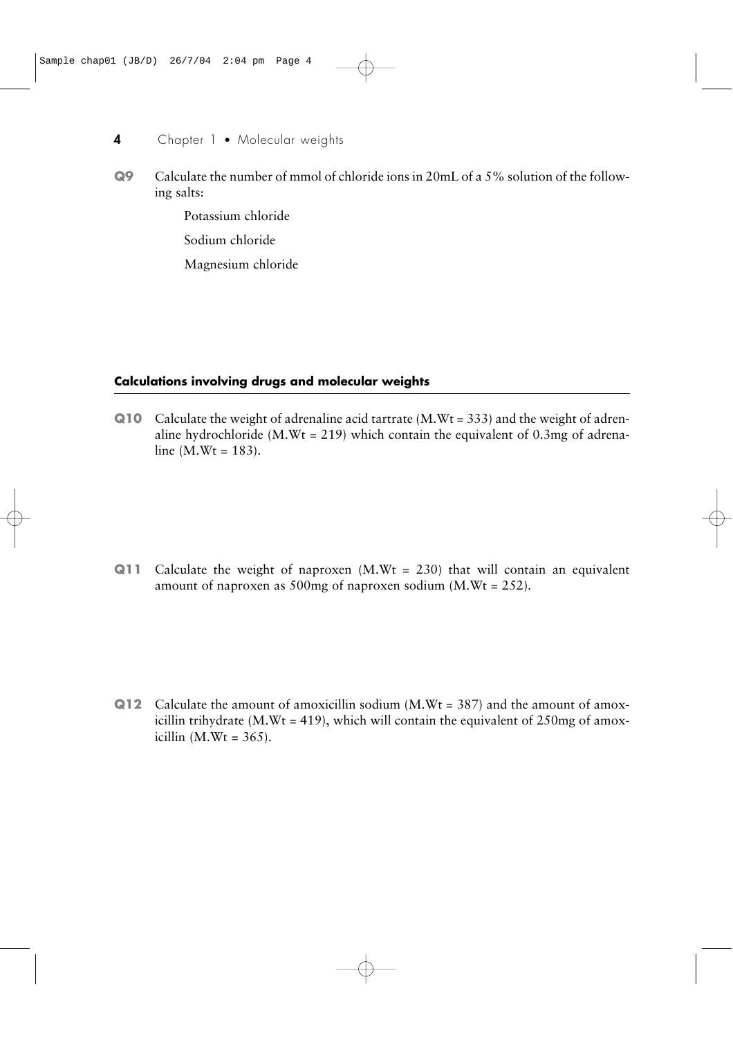- **Q9** Calculate the number of mmol of chloride ions in 20mL of a 5% solution of the following salts:
	- Potassium chloride
	- Sodium chloride
	- Magnesium chloride

## **Calculations involving drugs and molecular weights**

**Q10** Calculate the weight of adrenaline acid tartrate (M.Wt = 333) and the weight of adrenaline hydrochloride (M.Wt = 219) which contain the equivalent of 0.3mg of adrenaline  $(M.Wt = 183)$ .

**Q11** Calculate the weight of naproxen  $(M, Wt = 230)$  that will contain an equivalent amount of naproxen as 500mg of naproxen sodium (M.Wt = 252).

**Q12** Calculate the amount of amoxicillin sodium (M.Wt = 387) and the amount of amoxicillin trihydrate (M.Wt = 419), which will contain the equivalent of 250mg of amoxicillin  $(M.Wt = 365)$ .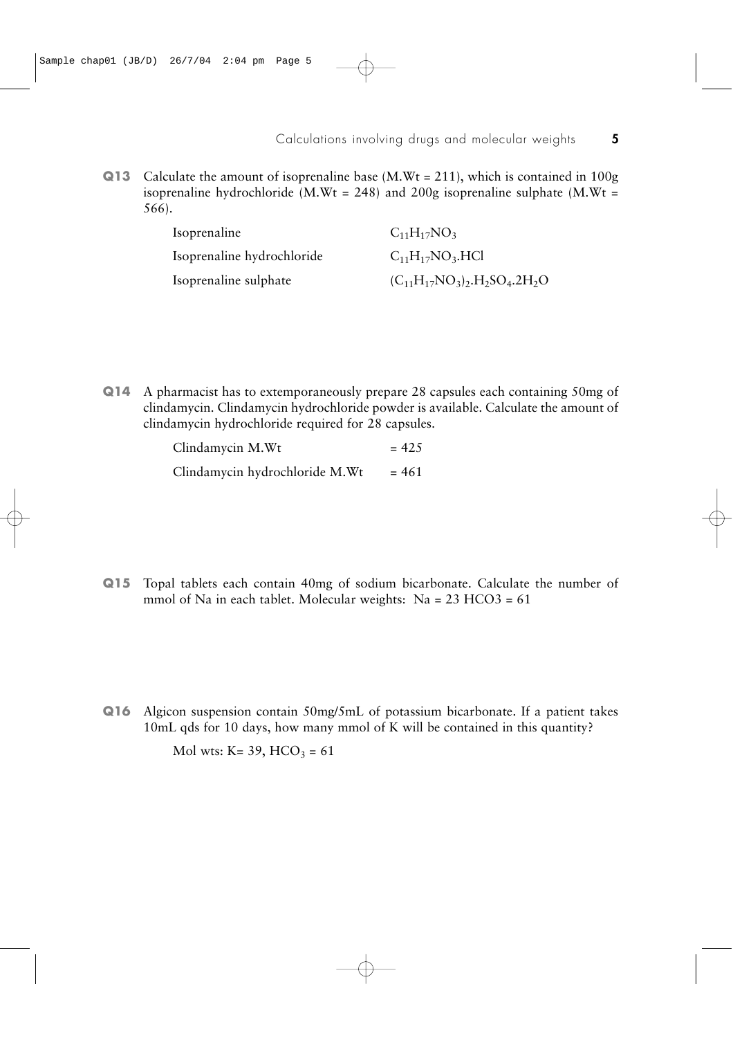**Q13** Calculate the amount of isoprenaline base (M.Wt = 211), which is contained in 100g isoprenaline hydrochloride (M.Wt = 248) and 200g isoprenaline sulphate (M.Wt = 566).

| Isoprenaline               | $C_{11}H_{17}NO_3$                                                       |
|----------------------------|--------------------------------------------------------------------------|
| Isoprenaline hydrochloride | $C_{11}H_{17}NO_3.HCl$                                                   |
| Isoprenaline sulphate      | $(C_{11}H_{17}NO_3)$ , H <sub>2</sub> SO <sub>4</sub> .2H <sub>2</sub> O |

**Q14** A pharmacist has to extemporaneously prepare 28 capsules each containing 50mg of clindamycin. Clindamycin hydrochloride powder is available. Calculate the amount of clindamycin hydrochloride required for 28 capsules.

| Clindamycin M.Wt               | $= 42.5$ |
|--------------------------------|----------|
| Clindamycin hydrochloride M.Wt | $= 461$  |

**Q15** Topal tablets each contain 40mg of sodium bicarbonate. Calculate the number of mmol of Na in each tablet. Molecular weights: Na = 23 HCO3 = 61

**Q16** Algicon suspension contain 50mg/5mL of potassium bicarbonate. If a patient takes 10mL qds for 10 days, how many mmol of K will be contained in this quantity?

Mol wts: K= 39, HCO<sub>3</sub> = 61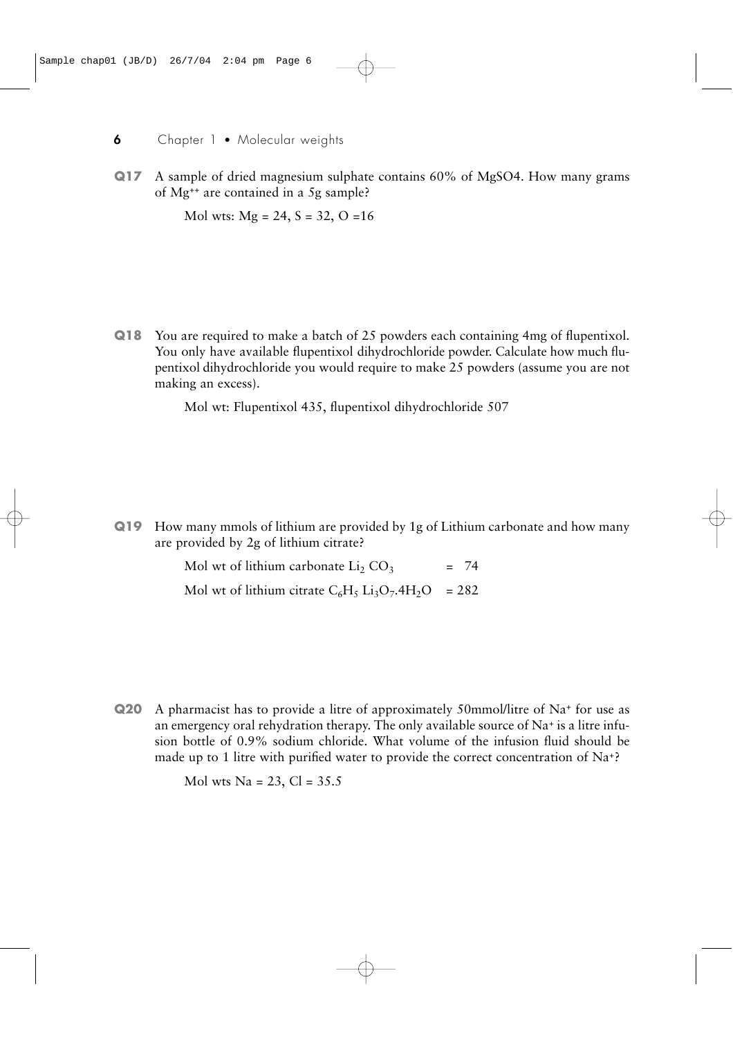**Q17** A sample of dried magnesium sulphate contains 60% of MgSO4. How many grams of Mg++ are contained in a 5g sample?

Mol wts:  $Mg = 24$ ,  $S = 32$ ,  $O = 16$ 

**Q18** You are required to make a batch of 25 powders each containing 4mg of flupentixol. You only have available flupentixol dihydrochloride powder. Calculate how much flupentixol dihydrochloride you would require to make 25 powders (assume you are not making an excess).

Mol wt: Flupentixol 435, flupentixol dihydrochloride 507

**Q19** How many mmols of lithium are provided by 1g of Lithium carbonate and how many are provided by 2g of lithium citrate?

> Mol wt of lithium carbonate  $Li_2$  CO<sub>3</sub> = 74 Mol wt of lithium citrate  $C_6H_5 Li_3O_7.4H_2O = 282$

**Q20** A pharmacist has to provide a litre of approximately 50mmol/litre of Na+ for use as an emergency oral rehydration therapy. The only available source of  $Na<sup>+</sup>$  is a litre infusion bottle of 0.9% sodium chloride. What volume of the infusion fluid should be made up to 1 litre with purified water to provide the correct concentration of Na+?

Mol wts Na =  $23$ , Cl =  $35.5$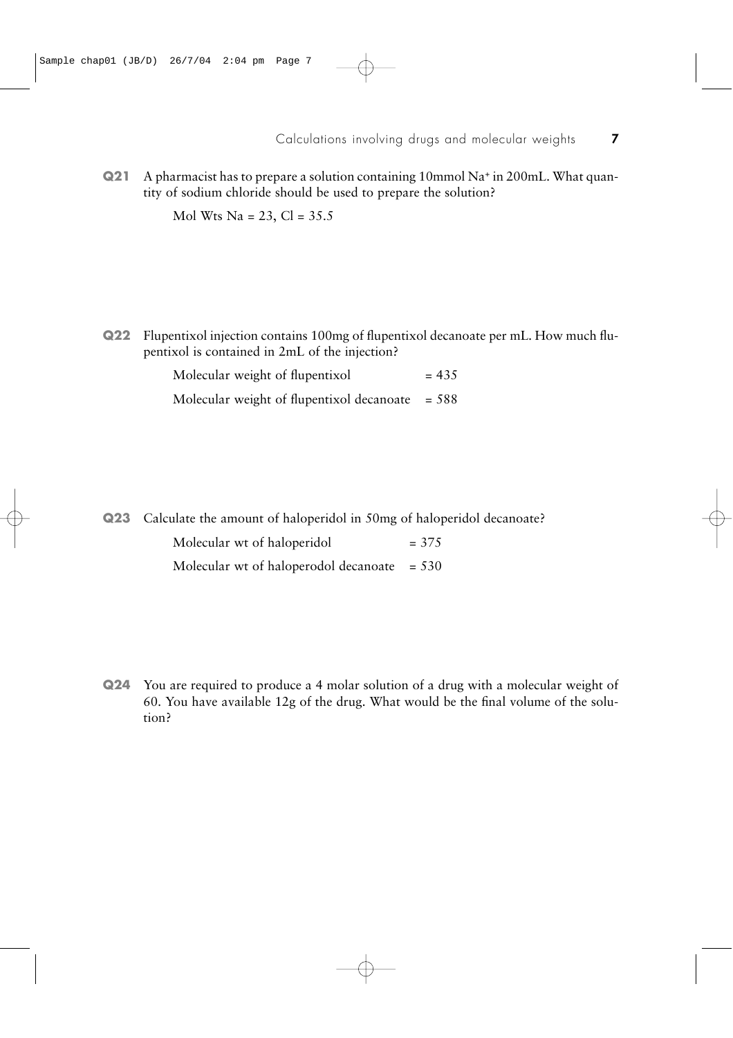**Q21** A pharmacist has to prepare a solution containing 10mmol Na+ in 200mL. What quantity of sodium chloride should be used to prepare the solution?

Mol Wts Na = 23, Cl =  $35.5$ 

**Q22** Flupentixol injection contains 100mg of flupentixol decanoate per mL. How much flupentixol is contained in 2mL of the injection?

> Molecular weight of flupentixol  $= 435$ Molecular weight of flupentixol decanoate  $= 588$

**Q23** Calculate the amount of haloperidol in 50mg of haloperidol decanoate? Molecular wt of haloperidol  $= 375$ 

Molecular wt of haloperodol decanoate  $= 530$ 

**Q24** You are required to produce a 4 molar solution of a drug with a molecular weight of 60. You have available 12g of the drug. What would be the final volume of the solution?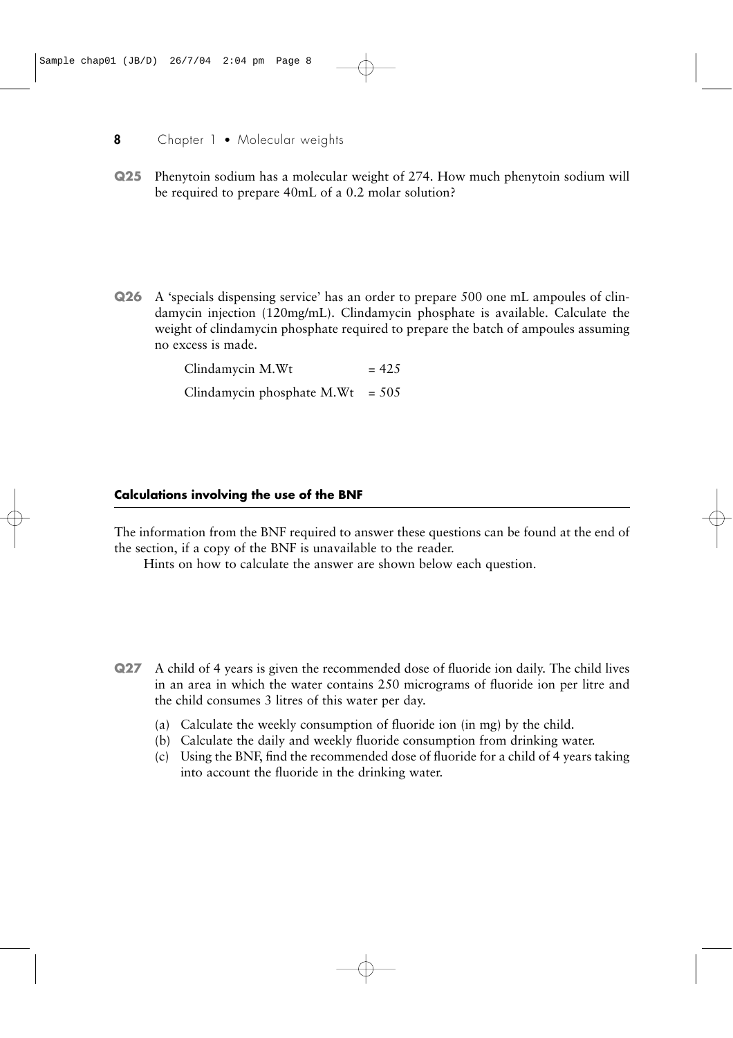**Q25** Phenytoin sodium has a molecular weight of 274. How much phenytoin sodium will be required to prepare 40mL of a 0.2 molar solution?

**Q26** A 'specials dispensing service' has an order to prepare 500 one mL ampoules of clindamycin injection (120mg/mL). Clindamycin phosphate is available. Calculate the weight of clindamycin phosphate required to prepare the batch of ampoules assuming no excess is made.

> $C$ lindamycin M.Wt  $= 425$ Clindamycin phosphate  $M.Wt = 505$

#### **Calculations involving the use of the BNF**

The information from the BNF required to answer these questions can be found at the end of the section, if a copy of the BNF is unavailable to the reader.

Hints on how to calculate the answer are shown below each question.

- **Q27** A child of 4 years is given the recommended dose of fluoride ion daily. The child lives in an area in which the water contains 250 micrograms of fluoride ion per litre and the child consumes 3 litres of this water per day.
	- (a) Calculate the weekly consumption of fluoride ion (in mg) by the child.
	- (b) Calculate the daily and weekly fluoride consumption from drinking water.
	- (c) Using the BNF, find the recommended dose of fluoride for a child of 4 years taking into account the fluoride in the drinking water.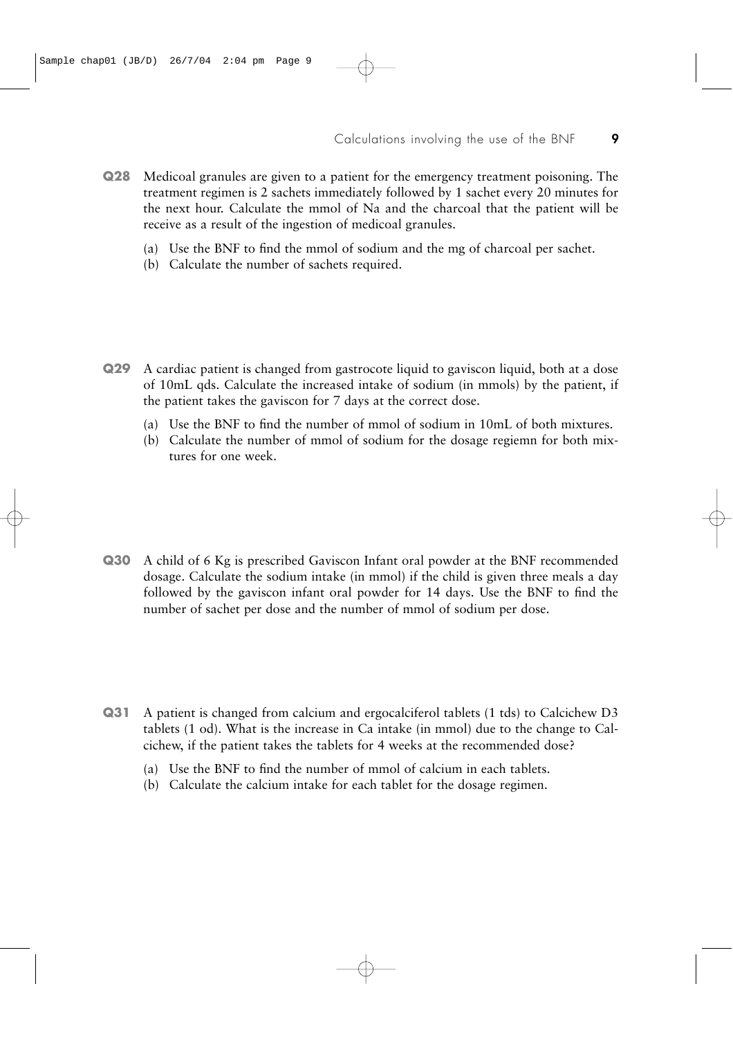- **Q28** Medicoal granules are given to a patient for the emergency treatment poisoning. The treatment regimen is 2 sachets immediately followed by 1 sachet every 20 minutes for the next hour. Calculate the mmol of Na and the charcoal that the patient will be receive as a result of the ingestion of medicoal granules.
	- (a) Use the BNF to find the mmol of sodium and the mg of charcoal per sachet.
	- (b) Calculate the number of sachets required.

- **Q29** A cardiac patient is changed from gastrocote liquid to gaviscon liquid, both at a dose of 10mL qds. Calculate the increased intake of sodium (in mmols) by the patient, if the patient takes the gaviscon for 7 days at the correct dose.
	- (a) Use the BNF to find the number of mmol of sodium in 10mL of both mixtures.
	- (b) Calculate the number of mmol of sodium for the dosage regiemn for both mixtures for one week.

**Q30** A child of 6 Kg is prescribed Gaviscon Infant oral powder at the BNF recommended dosage. Calculate the sodium intake (in mmol) if the child is given three meals a day followed by the gaviscon infant oral powder for 14 days. Use the BNF to find the number of sachet per dose and the number of mmol of sodium per dose.

- **Q31** A patient is changed from calcium and ergocalciferol tablets (1 tds) to Calcichew D3 tablets (1 od). What is the increase in Ca intake (in mmol) due to the change to Calcichew, if the patient takes the tablets for 4 weeks at the recommended dose?
	- (a) Use the BNF to find the number of mmol of calcium in each tablets.
	- (b) Calculate the calcium intake for each tablet for the dosage regimen.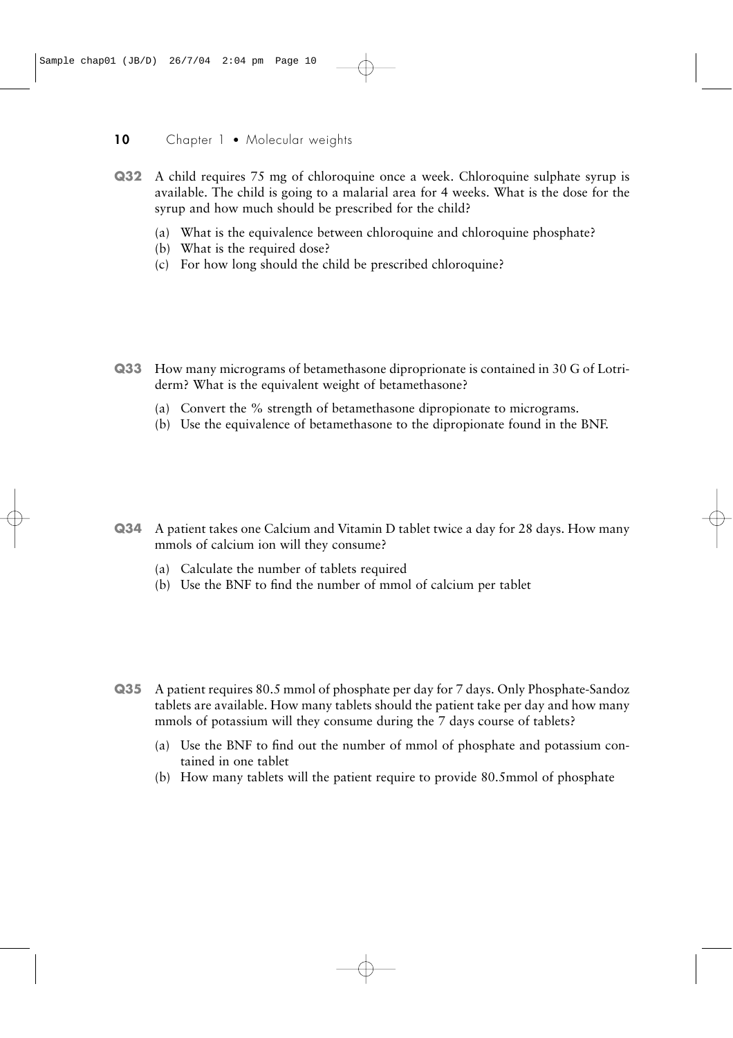- **Q32** A child requires 75 mg of chloroquine once a week. Chloroquine sulphate syrup is available. The child is going to a malarial area for 4 weeks. What is the dose for the syrup and how much should be prescribed for the child?
	- (a) What is the equivalence between chloroquine and chloroquine phosphate?
	- (b) What is the required dose?
	- (c) For how long should the child be prescribed chloroquine?

- **Q33** How many micrograms of betamethasone diproprionate is contained in 30 G of Lotriderm? What is the equivalent weight of betamethasone?
	- (a) Convert the % strength of betamethasone dipropionate to micrograms.
	- (b) Use the equivalence of betamethasone to the dipropionate found in the BNF.

- **Q34** A patient takes one Calcium and Vitamin D tablet twice a day for 28 days. How many mmols of calcium ion will they consume?
	- (a) Calculate the number of tablets required
	- (b) Use the BNF to find the number of mmol of calcium per tablet

- **Q35** A patient requires 80.5 mmol of phosphate per day for 7 days. Only Phosphate-Sandoz tablets are available. How many tablets should the patient take per day and how many mmols of potassium will they consume during the 7 days course of tablets?
	- (a) Use the BNF to find out the number of mmol of phosphate and potassium contained in one tablet
	- (b) How many tablets will the patient require to provide 80.5mmol of phosphate